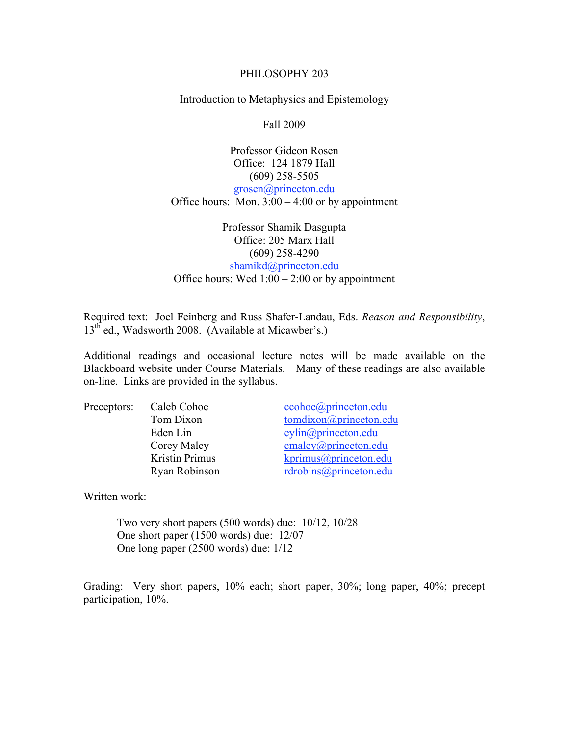#### PHILOSOPHY 203

Introduction to Metaphysics and Epistemology

Fall 2009

Professor Gideon Rosen Office: 124 1879 Hall (609) 258-5505 grosen@princeton.edu Office hours: Mon.  $3:00 - 4:00$  or by appointment

Professor Shamik Dasgupta Office: 205 Marx Hall (609) 258-4290 shamikd@princeton.edu Office hours: Wed  $1:00 - 2:00$  or by appointment

Required text: Joel Feinberg and Russ Shafer-Landau, Eds. *Reason and Responsibility*, 13<sup>th</sup> ed., Wadsworth 2008. (Available at Micawber's.)

Additional readings and occasional lecture notes will be made available on the Blackboard website under Course Materials. Many of these readings are also available on-line. Links are provided in the syllabus.

| Preceptors: | Caleb Cohoe    | ccoho e @ princeton.edu  |
|-------------|----------------|--------------------------|
|             | Tom Dixon      | tomdixon@princeton.edu   |
|             | Eden Lin       | evlin@princeton.edu      |
|             | Corey Maley    | cmaley@princeton.edu     |
|             | Kristin Primus | $k$ primus@princeton.edu |
|             | Ryan Robinson  | rdrobins@princeton.edu   |

Written work:

Two very short papers (500 words) due: 10/12, 10/28 One short paper (1500 words) due: 12/07 One long paper (2500 words) due: 1/12

Grading: Very short papers, 10% each; short paper, 30%; long paper, 40%; precept participation, 10%.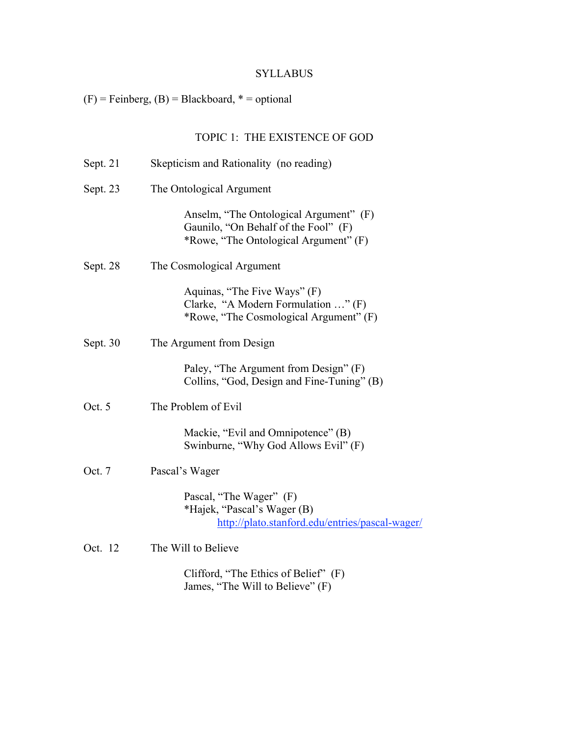# SYLLABUS

# $(F)$  = Feinberg,  $(B)$  = Blackboard,  $*$  = optional

# TOPIC 1: THE EXISTENCE OF GOD

| Sept. $21$ | Skepticism and Rationality (no reading)                                                                                 |  |
|------------|-------------------------------------------------------------------------------------------------------------------------|--|
| Sept. 23   | The Ontological Argument                                                                                                |  |
|            | Anselm, "The Ontological Argument" (F)<br>Gaunilo, "On Behalf of the Fool" (F)<br>*Rowe, "The Ontological Argument" (F) |  |
| Sept. 28   | The Cosmological Argument                                                                                               |  |
|            | Aquinas, "The Five Ways" (F)<br>Clarke, "A Modern Formulation " (F)<br>*Rowe, "The Cosmological Argument" (F)           |  |
| Sept. 30   | The Argument from Design                                                                                                |  |
|            | Paley, "The Argument from Design" (F)<br>Collins, "God, Design and Fine-Tuning" (B)                                     |  |
| Oct. 5     | The Problem of Evil                                                                                                     |  |
|            | Mackie, "Evil and Omnipotence" (B)<br>Swinburne, "Why God Allows Evil" (F)                                              |  |
| Oct. 7     | Pascal's Wager                                                                                                          |  |
|            | Pascal, "The Wager" (F)<br>*Hajek, "Pascal's Wager (B)<br>http://plato.stanford.edu/entries/pascal-wager/               |  |
| Oct. 12    | The Will to Believe                                                                                                     |  |
|            | Clifford, "The Ethics of Belief" (F)<br>James, "The Will to Believe" (F)                                                |  |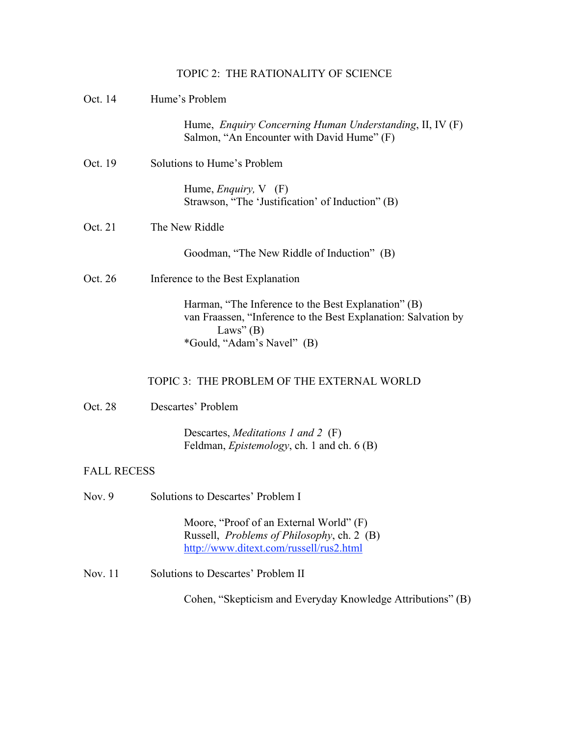## TOPIC 2: THE RATIONALITY OF SCIENCE

| Oct. 14            | Hume's Problem                                                                                                                                                     |  |
|--------------------|--------------------------------------------------------------------------------------------------------------------------------------------------------------------|--|
|                    | Hume, <i>Enquiry Concerning Human Understanding</i> , II, IV (F)<br>Salmon, "An Encounter with David Hume" (F)                                                     |  |
| Oct. 19            | Solutions to Hume's Problem                                                                                                                                        |  |
|                    | Hume, <i>Enquiry</i> , $V$ (F)<br>Strawson, "The 'Justification' of Induction" (B)                                                                                 |  |
| Oct. 21            | The New Riddle                                                                                                                                                     |  |
|                    | Goodman, "The New Riddle of Induction" (B)                                                                                                                         |  |
| Oct. 26            | Inference to the Best Explanation                                                                                                                                  |  |
|                    | Harman, "The Inference to the Best Explanation" (B)<br>van Fraassen, "Inference to the Best Explanation: Salvation by<br>Laws" $(B)$<br>*Gould, "Adam's Navel" (B) |  |
|                    | TOPIC 3: THE PROBLEM OF THE EXTERNAL WORLD                                                                                                                         |  |
| Oct. 28            | Descartes' Problem                                                                                                                                                 |  |
|                    | Descartes, <i>Meditations 1 and 2</i> (F)<br>Feldman, <i>Epistemology</i> , ch. 1 and ch. 6 (B)                                                                    |  |
| <b>FALL RECESS</b> |                                                                                                                                                                    |  |
| Nov. $9$           | Solutions to Descartes' Problem I                                                                                                                                  |  |
|                    | Moore, "Proof of an External World" (F)<br>Russell, <i>Problems of Philosophy</i> , ch. 2 (B)<br>http://www.ditext.com/russell/rus2.html                           |  |
| Nov. 11            | Solutions to Descartes' Problem II                                                                                                                                 |  |
|                    | Cohen, "Skepticism and Everyday Knowledge Attributions" (B)                                                                                                        |  |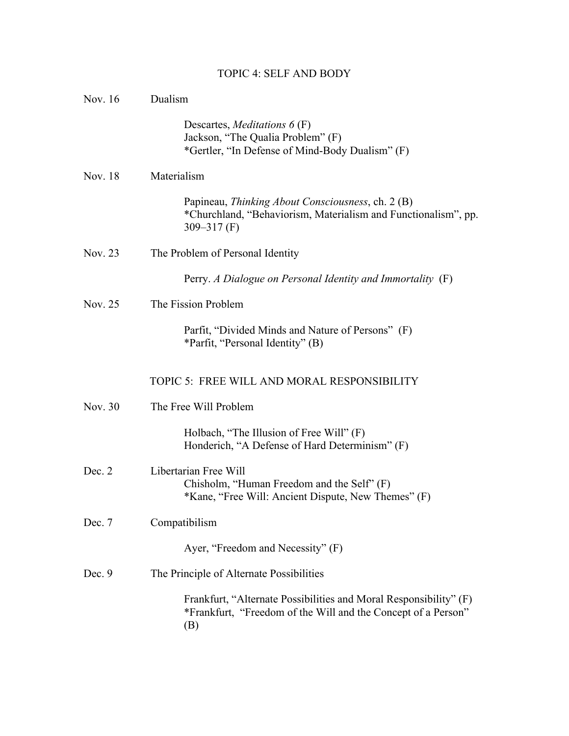# TOPIC 4: SELF AND BODY

| Nov. 16  | Dualism                                                                                                                                   |  |
|----------|-------------------------------------------------------------------------------------------------------------------------------------------|--|
|          | Descartes, <i>Meditations</i> $6(F)$<br>Jackson, "The Qualia Problem" (F)<br>*Gertler, "In Defense of Mind-Body Dualism" (F)              |  |
| Nov. 18  | Materialism                                                                                                                               |  |
|          | Papineau, Thinking About Consciousness, ch. 2 (B)<br>*Churchland, "Behaviorism, Materialism and Functionalism", pp.<br>$309 - 317$ (F)    |  |
| Nov. 23  | The Problem of Personal Identity                                                                                                          |  |
|          | Perry. A Dialogue on Personal Identity and Immortality (F)                                                                                |  |
| Nov. 25  | The Fission Problem                                                                                                                       |  |
|          | Parfit, "Divided Minds and Nature of Persons" (F)<br>*Parfit, "Personal Identity" (B)                                                     |  |
|          | TOPIC 5: FREE WILL AND MORAL RESPONSIBILITY                                                                                               |  |
| Nov. 30  | The Free Will Problem                                                                                                                     |  |
|          | Holbach, "The Illusion of Free Will" (F)<br>Honderich, "A Defense of Hard Determinism" (F)                                                |  |
| Dec. 2   | Libertarian Free Will<br>Chisholm, "Human Freedom and the Self" (F)<br>*Kane, "Free Will: Ancient Dispute, New Themes" (F)                |  |
| Dec. 7   | Compatibilism                                                                                                                             |  |
|          | Ayer, "Freedom and Necessity" (F)                                                                                                         |  |
| Dec. $9$ | The Principle of Alternate Possibilities                                                                                                  |  |
|          | Frankfurt, "Alternate Possibilities and Moral Responsibility" (F)<br>*Frankfurt, "Freedom of the Will and the Concept of a Person"<br>(B) |  |